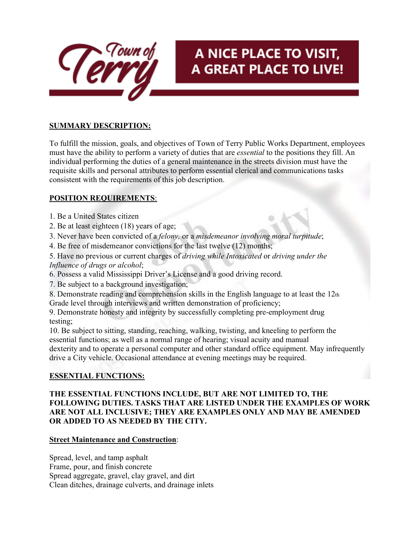

# A NICE PLACE TO VISIT, A GREAT PLACE TO LIVE!

## **SUMMARY DESCRIPTION:**

To fulfill the mission, goals, and objectives of Town of Terry Public Works Department, employees must have the ability to perform a variety of duties that are *essential* to the positions they fill. An individual performing the duties of a general maintenance in the streets division must have the requisite skills and personal attributes to perform essential clerical and communications tasks consistent with the requirements of this job description.

# **POSITION REQUIREMENTS**:

- 1. Be a United States citizen
- 2. Be at least eighteen (18) years of age;
- 3. Never have been convicted of a *felony,* or a *misdemeanor involving moral turpitude*;
- 4. Be free of misdemeanor convictions for the last twelve (12) months;
- 5. Have no previous or current charges of *driving while Intoxicated* or *driving under the Influence of drugs or alcohol*;
- 6. Possess a valid Mississippi Driver's License and a good driving record.
- 7. Be subject to a background investigation;
- 8. Demonstrate reading and comprehension skills in the English language to at least the 12th
- Grade level through interviews and written demonstration of proficiency;

9. Demonstrate honesty and integrity by successfully completing pre-employment drug testing;

10. Be subject to sitting, standing, reaching, walking, twisting, and kneeling to perform the essential functions; as well as a normal range of hearing; visual acuity and manual dexterity and to operate a personal computer and other standard office equipment. May infrequently drive a City vehicle. Occasional attendance at evening meetings may be required.

## **ESSENTIAL FUNCTIONS:**

#### **THE ESSENTIAL FUNCTIONS INCLUDE, BUT ARE NOT LIMITED TO, THE FOLLOWING DUTIES. TASKS THAT ARE LISTED UNDER THE EXAMPLES OF WORK ARE NOT ALL INCLUSIVE; THEY ARE EXAMPLES ONLY AND MAY BE AMENDED OR ADDED TO AS NEEDED BY THE CITY.**

#### **Street Maintenance and Construction**:

Spread, level, and tamp asphalt Frame, pour, and finish concrete Spread aggregate, gravel, clay gravel, and dirt Clean ditches, drainage culverts, and drainage inlets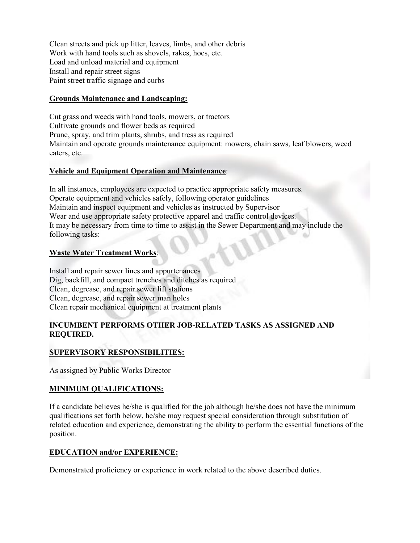Clean streets and pick up litter, leaves, limbs, and other debris Work with hand tools such as shovels, rakes, hoes, etc. Load and unload material and equipment Install and repair street signs Paint street traffic signage and curbs

#### **Grounds Maintenance and Landscaping:**

Cut grass and weeds with hand tools, mowers, or tractors Cultivate grounds and flower beds as required Prune, spray, and trim plants, shrubs, and tress as required Maintain and operate grounds maintenance equipment: mowers, chain saws, leaf blowers, weed eaters, etc.

#### **Vehicle and Equipment Operation and Maintenance**:

In all instances, employees are expected to practice appropriate safety measures. Operate equipment and vehicles safely, following operator guidelines Maintain and inspect equipment and vehicles as instructed by Supervisor Wear and use appropriate safety protective apparel and traffic control devices. It may be necessary from time to time to assist in the Sewer Department and may include the following tasks:

#### **Waste Water Treatment Works**:

Install and repair sewer lines and appurtenances Dig, backfill, and compact trenches and ditches as required Clean, degrease, and repair sewer lift stations Clean, degrease, and repair sewer man holes Clean repair mechanical equipment at treatment plants

#### **INCUMBENT PERFORMS OTHER JOB-RELATED TASKS AS ASSIGNED AND REQUIRED.**

## **SUPERVISORY RESPONSIBILITIES:**

As assigned by Public Works Director

#### **MINIMUM QUALIFICATIONS:**

If a candidate believes he/she is qualified for the job although he/she does not have the minimum qualifications set forth below, he/she may request special consideration through substitution of related education and experience, demonstrating the ability to perform the essential functions of the position.

#### **EDUCATION and/or EXPERIENCE:**

Demonstrated proficiency or experience in work related to the above described duties.